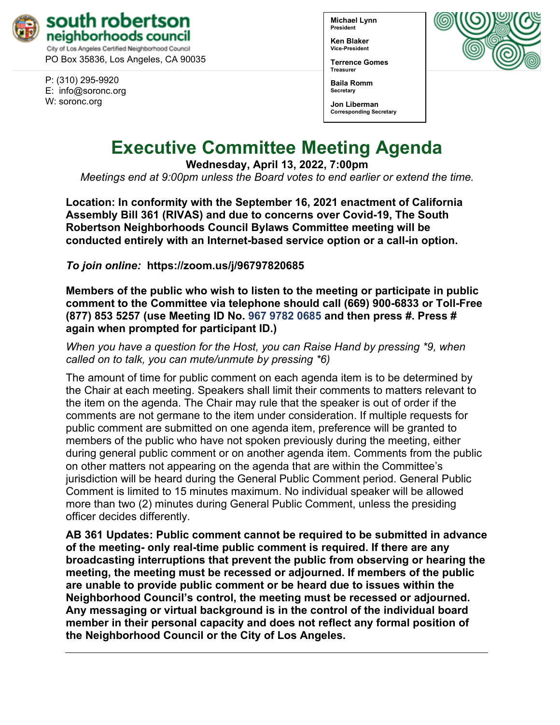

PO Box 35836, Los Angeles, CA 90035

P: (310) 295-9920 E: [info@soronc.org](mailto:info@soronc.org) W: soronc.org

**Michael Lynn President**

**Ken Blaker Vice-President**

**Terrence Gomes Treasurer**

**Baila Romm Secretary**

**Jon Liberman Corresponding Secretary**



# **Executive Committee Meeting Agenda**

**Wednesday, April 13, 2022, 7:00pm**

*Meetings end at 9:00pm unless the Board votes to end earlier or extend the time.*

**Location: In conformity with the September 16, 2021 enactment of California Assembly Bill 361 (RIVAS) and due to concerns over Covid-19, The South Robertson Neighborhoods Council Bylaws Committee meeting will be conducted entirely with an Internet-based service option or a call-in option.**

*To join online:* **<https://zoom.us/j/96797820685>**

**Members of the public who wish to listen to the meeting or participate in public comment to the Committee via telephone should call (669) 900-6833 or Toll-Free (877) 853 5257 (use Meeting ID No. 967 9782 0685 and then press #. Press # again when prompted for participant ID.)** 

*When you have a question for the Host, you can Raise Hand by pressing \*9, when called on to talk, you can mute/unmute by pressing \*6)* 

The amount of time for public comment on each agenda item is to be determined by the Chair at each meeting. Speakers shall limit their comments to matters relevant to the item on the agenda. The Chair may rule that the speaker is out of order if the comments are not germane to the item under consideration. If multiple requests for public comment are submitted on one agenda item, preference will be granted to members of the public who have not spoken previously during the meeting, either during general public comment or on another agenda item. Comments from the public on other matters not appearing on the agenda that are within the Committee's jurisdiction will be heard during the General Public Comment period. General Public Comment is limited to 15 minutes maximum. No individual speaker will be allowed more than two (2) minutes during General Public Comment, unless the presiding officer decides differently.

**AB 361 Updates: Public comment cannot be required to be submitted in advance of the meeting- only real-time public comment is required. If there are any broadcasting interruptions that prevent the public from observing or hearing the meeting, the meeting must be recessed or adjourned. If members of the public are unable to provide public comment or be heard due to issues within the Neighborhood Council's control, the meeting must be recessed or adjourned. Any messaging or virtual background is in the control of the individual board member in their personal capacity and does not reflect any formal position of the Neighborhood Council or the City of Los Angeles.**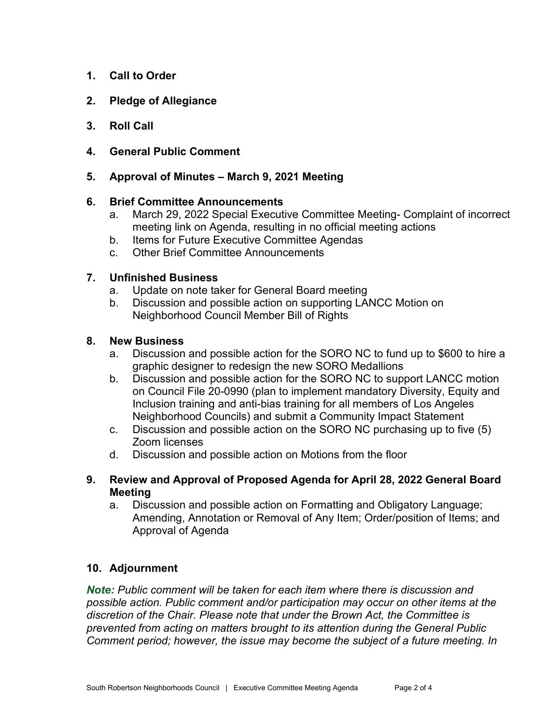- **1. Call to Order**
- **2. Pledge of Allegiance**
- **3. Roll Call**
- **4. General Public Comment**
- **5. Approval of Minutes – March 9, 2021 Meeting**

## **6. Brief Committee Announcements**

- a. March 29, 2022 Special Executive Committee Meeting- Complaint of incorrect meeting link on Agenda, resulting in no official meeting actions
- b. Items for Future Executive Committee Agendas
- c. Other Brief Committee Announcements

## **7. Unfinished Business**

- a. Update on note taker for General Board meeting
- b. Discussion and possible action on supporting LANCC Motion on Neighborhood Council Member Bill of Rights

### **8. New Business**

- a. Discussion and possible action for the SORO NC to fund up to \$600 to hire a graphic designer to redesign the new SORO Medallions
- b. Discussion and possible action for the SORO NC to support LANCC motion on Council File 20-0990 (plan to implement mandatory Diversity, Equity and Inclusion training and anti-bias training for all members of Los Angeles Neighborhood Councils) and submit a Community Impact Statement
- c. Discussion and possible action on the SORO NC purchasing up to five (5) Zoom licenses
- d. Discussion and possible action on Motions from the floor
- **9. Review and Approval of Proposed Agenda for April 28, 2022 General Board Meeting**
	- a. Discussion and possible action on Formatting and Obligatory Language; Amending, Annotation or Removal of Any Item; Order/position of Items; and Approval of Agenda

## **10. Adjournment**

*Note: Public comment will be taken for each item where there is discussion and possible action. Public comment and/or participation may occur on other items at the discretion of the Chair. Please note that under the Brown Act, the Committee is prevented from acting on matters brought to its attention during the General Public Comment period; however, the issue may become the subject of a future meeting. In*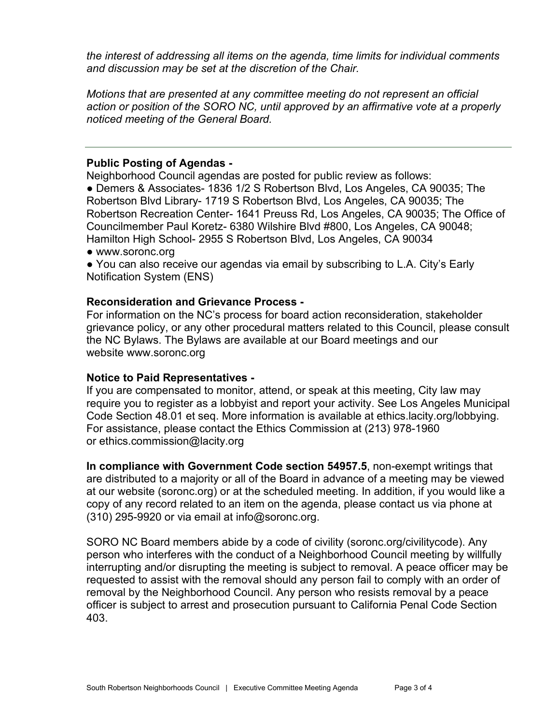*the interest of addressing all items on the agenda, time limits for individual comments and discussion may be set at the discretion of the Chair.*

*Motions that are presented at any committee meeting do not represent an official action or position of the SORO NC, until approved by an affirmative vote at a properly noticed meeting of the General Board.*

#### **Public Posting of Agendas -**

Neighborhood Council agendas are posted for public review as follows:

● Demers & Associates- 1836 1/2 S Robertson Blvd, Los Angeles, CA 90035; The Robertson Blvd Library- 1719 S Robertson Blvd, Los Angeles, CA 90035; The Robertson Recreation Center- 1641 Preuss Rd, Los Angeles, CA 90035; The Office of Councilmember Paul Koretz- 6380 Wilshire Blvd #800, Los Angeles, CA 90048; Hamilton High School- 2955 S Robertson Blvd, Los Angeles, CA 90034

● [www.soronc.org](http://www.soronc.org/)

● You can also receive our agendas via email by subscribing to L.A. City's Early [Notification System \(ENS\)](https://www.lacity.org/government/subscribe-agendasnotifications/neighborhood-councils)

### **Reconsideration and Grievance Process -**

For information on the NC's process for board action reconsideration, stakeholder grievance policy, or any other procedural matters related to this Council, please consult the NC Bylaws. The Bylaws are available at our Board meetings and our website [www.soronc.org](http://www.soronc.org/)

#### **Notice to Paid Representatives -**

If you are compensated to monitor, attend, or speak at this meeting, City law may require you to register as a lobbyist and report your activity. See Los Angeles Municipal Code Section 48.01 et seq. More information is available at [ethics.lacity.org/lobbying.](http://ethics.lacity.org/lobbying) For assistance, please contact the Ethics Commission at (213) 978-1960 or [ethics.commission@lacity.org](mailto:ethics.commission@lacity.org)

**In compliance with Government Code section 54957.5**, non-exempt writings that are distributed to a majority or all of the Board in advance of a meeting may be viewed at our website (soronc.org) or at the scheduled meeting. In addition, if you would like a copy of any record related to an item on the agenda, please contact us via phone at (310) 295-9920 or via email at [info@soronc.org.](mailto:info@soronc.org)

SORO NC Board members abide by a code of civility (soronc.org/civilitycode). Any person who interferes with the conduct of a Neighborhood Council meeting by willfully interrupting and/or disrupting the meeting is subject to removal. A peace officer may be requested to assist with the removal should any person fail to comply with an order of removal by the Neighborhood Council. Any person who resists removal by a peace officer is subject to arrest and prosecution pursuant to California Penal Code Section 403.